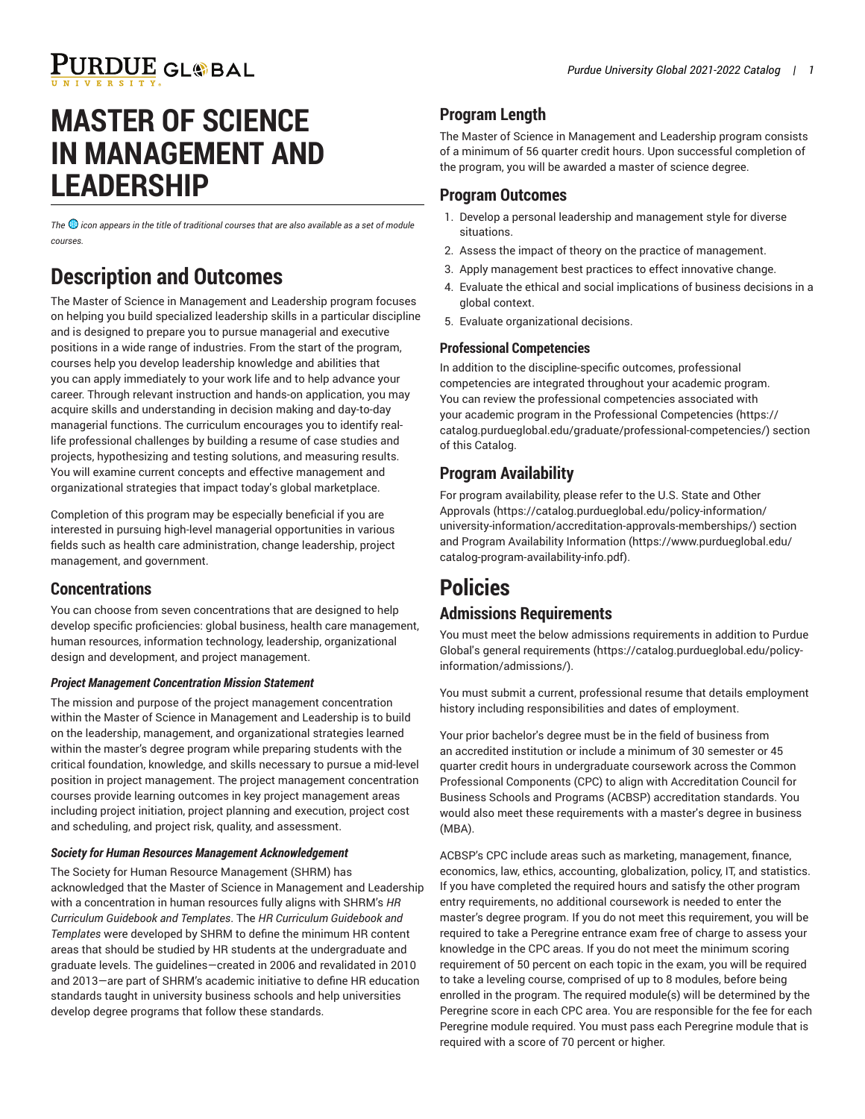# PURDUE GL®BAL

# **MASTER OF SCIENCE IN MANAGEMENT AND LEADERSHIP**

*The icon appears in the title of traditional courses that are also available as a set of module courses.* 

## **Description and Outcomes**

The Master of Science in Management and Leadership program focuses on helping you build specialized leadership skills in a particular discipline and is designed to prepare you to pursue managerial and executive positions in a wide range of industries. From the start of the program, courses help you develop leadership knowledge and abilities that you can apply immediately to your work life and to help advance your career. Through relevant instruction and hands-on application, you may acquire skills and understanding in decision making and day-to-day managerial functions. The curriculum encourages you to identify reallife professional challenges by building a resume of case studies and projects, hypothesizing and testing solutions, and measuring results. You will examine current concepts and effective management and organizational strategies that impact today's global marketplace.

Completion of this program may be especially beneficial if you are interested in pursuing high-level managerial opportunities in various fields such as health care administration, change leadership, project management, and government.

#### **Concentrations**

You can choose from seven concentrations that are designed to help develop specific proficiencies: global business, health care management, human resources, information technology, leadership, organizational design and development, and project management.

#### *Project Management Concentration Mission Statement*

The mission and purpose of the project management concentration within the Master of Science in Management and Leadership is to build on the leadership, management, and organizational strategies learned within the master's degree program while preparing students with the critical foundation, knowledge, and skills necessary to pursue a mid-level position in project management. The project management concentration courses provide learning outcomes in key project management areas including project initiation, project planning and execution, project cost and scheduling, and project risk, quality, and assessment.

#### *Society for Human Resources Management Acknowledgement*

The Society for Human Resource Management (SHRM) has acknowledged that the Master of Science in Management and Leadership with a concentration in human resources fully aligns with SHRM's *HR Curriculum Guidebook and Templates*. The *HR Curriculum Guidebook and Templates* were developed by SHRM to define the minimum HR content areas that should be studied by HR students at the undergraduate and graduate levels. The guidelines—created in 2006 and revalidated in 2010 and 2013—are part of SHRM's academic initiative to define HR education standards taught in university business schools and help universities develop degree programs that follow these standards.

### **Program Length**

The Master of Science in Management and Leadership program consists of a minimum of 56 quarter credit hours. Upon successful completion of the program, you will be awarded a master of science degree.

#### **Program Outcomes**

- 1. Develop a personal leadership and management style for diverse situations.
- 2. Assess the impact of theory on the practice of management.
- 3. Apply management best practices to effect innovative change.
- 4. Evaluate the ethical and social implications of business decisions in a global context.
- 5. Evaluate organizational decisions.

#### **Professional Competencies**

In addition to the discipline-specific outcomes, professional competencies are integrated throughout your academic program. You can review the professional competencies associated with your academic program in the Professional [Competencies](https://catalog.purdueglobal.edu/graduate/professional-competencies/) ([https://](https://catalog.purdueglobal.edu/graduate/professional-competencies/) [catalog.purdueglobal.edu/graduate/professional-competencies/](https://catalog.purdueglobal.edu/graduate/professional-competencies/)) section of this Catalog.

### **Program Availability**

For program availability, please refer to the [U.S. State and Other](https://catalog.purdueglobal.edu/policy-information/university-information/accreditation-approvals-memberships/) [Approvals](https://catalog.purdueglobal.edu/policy-information/university-information/accreditation-approvals-memberships/) ([https://catalog.purdueglobal.edu/policy-information/](https://catalog.purdueglobal.edu/policy-information/university-information/accreditation-approvals-memberships/) [university-information/accreditation-approvals-memberships/](https://catalog.purdueglobal.edu/policy-information/university-information/accreditation-approvals-memberships/)) section and Program Availability [Information](https://www.purdueglobal.edu/catalog-program-availability-info.pdf) ([https://www.purdueglobal.edu/](https://www.purdueglobal.edu/catalog-program-availability-info.pdf) [catalog-program-availability-info.pdf\)](https://www.purdueglobal.edu/catalog-program-availability-info.pdf).

# **Policies**

#### **Admissions Requirements**

You must meet the below admissions requirements in addition to Purdue Global's general [requirements](https://catalog.purdueglobal.edu/policy-information/admissions/) ([https://catalog.purdueglobal.edu/policy](https://catalog.purdueglobal.edu/policy-information/admissions/)[information/admissions/](https://catalog.purdueglobal.edu/policy-information/admissions/)).

You must submit a current, professional resume that details employment history including responsibilities and dates of employment.

Your prior bachelor's degree must be in the field of business from an accredited institution or include a minimum of 30 semester or 45 quarter credit hours in undergraduate coursework across the Common Professional Components (CPC) to align with Accreditation Council for Business Schools and Programs (ACBSP) accreditation standards. You would also meet these requirements with a master's degree in business (MBA).

ACBSP's CPC include areas such as marketing, management, finance, economics, law, ethics, accounting, globalization, policy, IT, and statistics. If you have completed the required hours and satisfy the other program entry requirements, no additional coursework is needed to enter the master's degree program. If you do not meet this requirement, you will be required to take a Peregrine entrance exam free of charge to assess your knowledge in the CPC areas. If you do not meet the minimum scoring requirement of 50 percent on each topic in the exam, you will be required to take a leveling course, comprised of up to 8 modules, before being enrolled in the program. The required module(s) will be determined by the Peregrine score in each CPC area. You are responsible for the fee for each Peregrine module required. You must pass each Peregrine module that is required with a score of 70 percent or higher.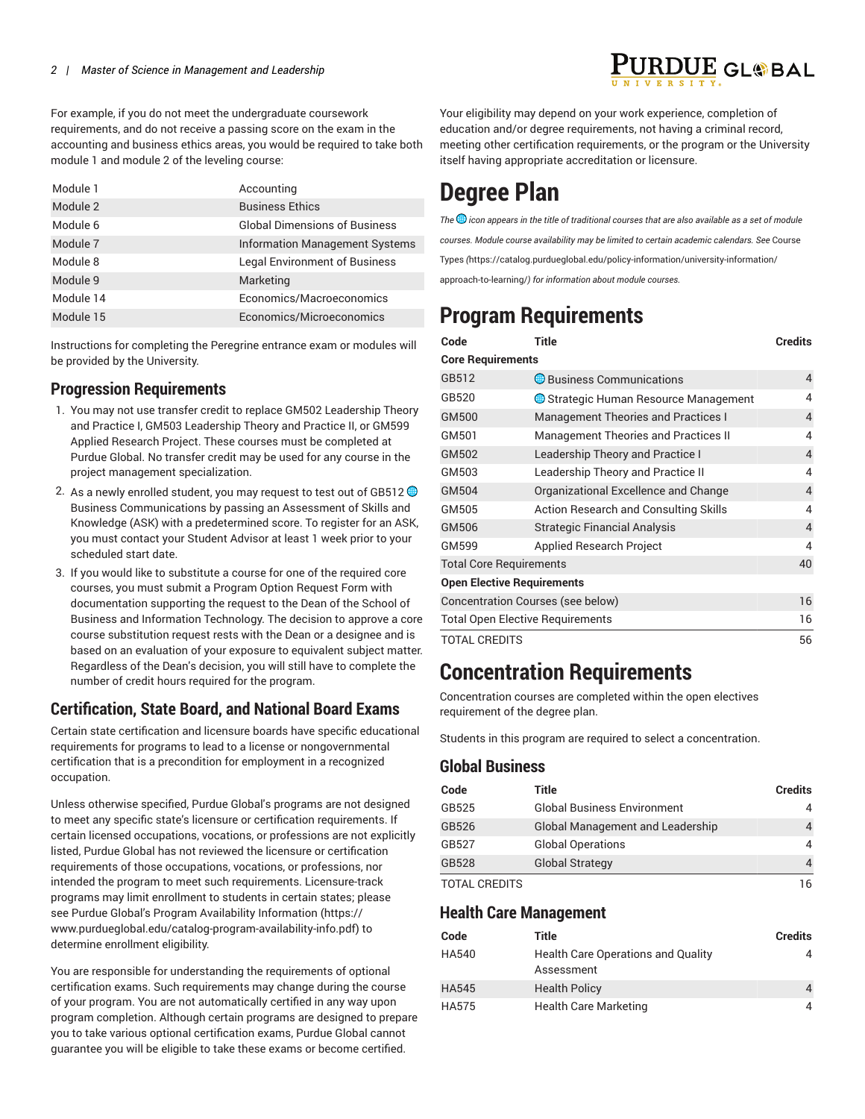For example, if you do not meet the undergraduate coursework requirements, and do not receive a passing score on the exam in the accounting and business ethics areas, you would be required to take both module 1 and module 2 of the leveling course:

| Module 1  | Accounting                            |
|-----------|---------------------------------------|
| Module 2  | <b>Business Ethics</b>                |
| Module 6  | <b>Global Dimensions of Business</b>  |
| Module 7  | <b>Information Management Systems</b> |
| Module 8  | <b>Legal Environment of Business</b>  |
| Module 9  | Marketing                             |
| Module 14 | Economics/Macroeconomics              |
| Module 15 | Economics/Microeconomics              |

Instructions for completing the Peregrine entrance exam or modules will be provided by the University.

### **Progression Requirements**

- 1. You may not use transfer credit to replace GM502 Leadership Theory and Practice I, GM503 Leadership Theory and Practice II, or GM599 Applied Research Project. These courses must be completed at Purdue Global. No transfer credit may be used for any course in the project management specialization.
- 2. As a newly enrolled student, you may request to test out of GB512  $\bigcirc$ Business Communications by passing an Assessment of Skills and Knowledge (ASK) with a predetermined score. To register for an ASK, you must contact your Student Advisor at least 1 week prior to your scheduled start date.
- 3. If you would like to substitute a course for one of the required core courses, you must submit a Program Option Request Form with documentation supporting the request to the Dean of the School of Business and Information Technology. The decision to approve a core course substitution request rests with the Dean or a designee and is based on an evaluation of your exposure to equivalent subject matter. Regardless of the Dean's decision, you will still have to complete the number of credit hours required for the program.

### **Certification, State Board, and National Board Exams**

Certain state certification and licensure boards have specific educational requirements for programs to lead to a license or nongovernmental certification that is a precondition for employment in a recognized occupation.

Unless otherwise specified, Purdue Global's programs are not designed to meet any specific state's licensure or certification requirements. If certain licensed occupations, vocations, or professions are not explicitly listed, Purdue Global has not reviewed the licensure or certification requirements of those occupations, vocations, or professions, nor intended the program to meet such requirements. Licensure-track programs may limit enrollment to students in certain states; please see Purdue Global's Program Availability [Information](https://www.purdueglobal.edu/catalog-program-availability-info.pdf) ([https://](https://www.purdueglobal.edu/catalog-program-availability-info.pdf) [www.purdueglobal.edu/catalog-program-availability-info.pdf\)](https://www.purdueglobal.edu/catalog-program-availability-info.pdf) to determine enrollment eligibility.

You are responsible for understanding the requirements of optional certification exams. Such requirements may change during the course of your program. You are not automatically certified in any way upon program completion. Although certain programs are designed to prepare you to take various optional certification exams, Purdue Global cannot guarantee you will be eligible to take these exams or become certified.

Your eligibility may depend on your work experience, completion of education and/or degree requirements, not having a criminal record, meeting other certification requirements, or the program or the University itself having appropriate accreditation or licensure.

# **Degree Plan**

*The icon appears in the title of traditional courses that are also available as a set of module courses. Module course availability may be limited to certain academic calendars. See* [Course](https://catalog.purdueglobal.edu/policy-information/university-information/approach-to-learning/) [Types](https://catalog.purdueglobal.edu/policy-information/university-information/approach-to-learning/) *(*[https://catalog.purdueglobal.edu/policy-information/university-information/](https://catalog.purdueglobal.edu/policy-information/university-information/approach-to-learning/) [approach-to-learning/](https://catalog.purdueglobal.edu/policy-information/university-information/approach-to-learning/)*) for information about module courses.*

## **Program Requirements**

| Code                              | <b>Title</b>                                 | <b>Credits</b> |
|-----------------------------------|----------------------------------------------|----------------|
| <b>Core Requirements</b>          |                                              |                |
| GB512                             | $\bigcirc$ Business Communications           | 4              |
| GB520                             | Strategic Human Resource Management          | 4              |
| GM500                             | <b>Management Theories and Practices I</b>   | 4              |
| GM501                             | <b>Management Theories and Practices II</b>  | 4              |
| GM502                             | Leadership Theory and Practice I             | 4              |
| GM503                             | Leadership Theory and Practice II            | 4              |
| GM504                             | Organizational Excellence and Change         | 4              |
| GM505                             | <b>Action Research and Consulting Skills</b> | 4              |
| GM506                             | <b>Strategic Financial Analysis</b>          | $\overline{4}$ |
| GM599                             | <b>Applied Research Project</b>              | 4              |
| <b>Total Core Requirements</b>    |                                              | 40             |
| <b>Open Elective Requirements</b> |                                              |                |
|                                   | Concentration Courses (see below)            | 16             |
|                                   | <b>Total Open Elective Requirements</b>      | 16             |
| <b>TOTAL CREDITS</b>              |                                              | 56             |

## **Concentration Requirements**

Concentration courses are completed within the open electives requirement of the degree plan.

Students in this program are required to select a concentration.

#### **Global Business**

| Code                 | Title                                   | <b>Credits</b> |
|----------------------|-----------------------------------------|----------------|
| GB525                | <b>Global Business Environment</b>      | 4              |
| GB526                | <b>Global Management and Leadership</b> | 4              |
| GB527                | <b>Global Operations</b>                | 4              |
| GB528                | <b>Global Strategy</b>                  | 4              |
| <b>TOTAL CREDITS</b> |                                         | 16             |

#### **Health Care Management**

| Code         | Title                                                   | Credits        |
|--------------|---------------------------------------------------------|----------------|
| <b>HA540</b> | <b>Health Care Operations and Quality</b><br>Assessment | 4              |
| <b>HA545</b> | <b>Health Policy</b>                                    | $\overline{4}$ |
| <b>HA575</b> | <b>Health Care Marketing</b>                            | 4              |